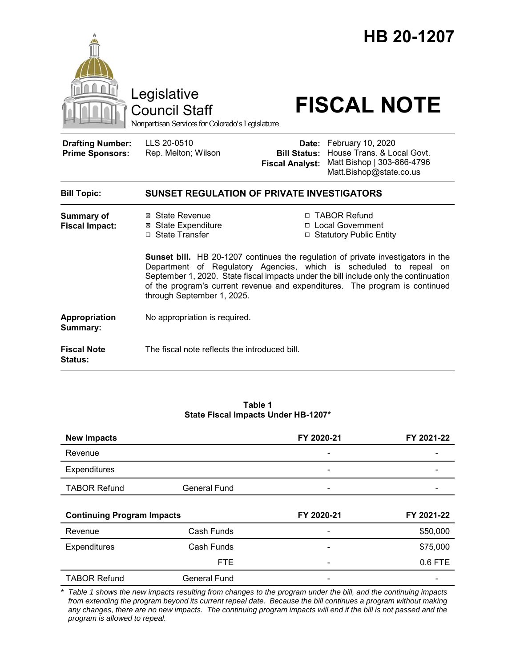

|  | Table 1 |                                     |
|--|---------|-------------------------------------|
|  |         | State Fiscal Impacts Under HB-1207* |

| <b>New Impacts</b>                |                     | FY 2020-21               | FY 2021-22 |
|-----------------------------------|---------------------|--------------------------|------------|
| Revenue                           |                     |                          |            |
| Expenditures                      |                     |                          |            |
| <b>TABOR Refund</b>               | <b>General Fund</b> |                          |            |
| <b>Continuing Program Impacts</b> |                     | FY 2020-21               | FY 2021-22 |
|                                   |                     |                          |            |
| Revenue                           | Cash Funds          | $\overline{\phantom{0}}$ | \$50,000   |
| Expenditures                      | Cash Funds          | $\overline{\phantom{0}}$ | \$75,000   |
|                                   | <b>FTE</b>          |                          | 0.6 FTE    |

*\* Table 1 shows the new impacts resulting from changes to the program under the bill, and the continuing impacts from extending the program beyond its current repeal date. Because the bill continues a program without making any changes, there are no new impacts. The continuing program impacts will end if the bill is not passed and the program is allowed to repeal.*